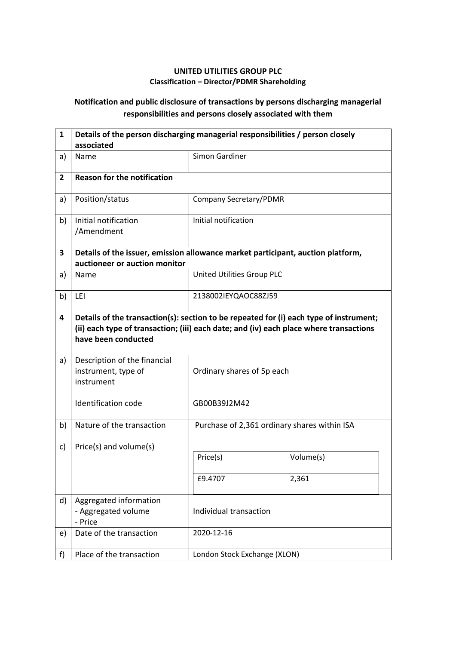## **UNITED UTILITIES GROUP PLC Classification – Director/PDMR Shareholding**

## **Notification and public disclosure of transactions by persons discharging managerial responsibilities and persons closely associated with them**

| $\mathbf{1}$   | Details of the person discharging managerial responsibilities / person closely<br>associated                                                                                                            |                                              |                    |  |
|----------------|---------------------------------------------------------------------------------------------------------------------------------------------------------------------------------------------------------|----------------------------------------------|--------------------|--|
| a)             | Name                                                                                                                                                                                                    | Simon Gardiner                               |                    |  |
| $\overline{2}$ | <b>Reason for the notification</b>                                                                                                                                                                      |                                              |                    |  |
| a)             | Position/status                                                                                                                                                                                         | Company Secretary/PDMR                       |                    |  |
| b)             | Initial notification<br>/Amendment                                                                                                                                                                      | Initial notification                         |                    |  |
| 3              | Details of the issuer, emission allowance market participant, auction platform,<br>auctioneer or auction monitor                                                                                        |                                              |                    |  |
| a)             | Name                                                                                                                                                                                                    | United Utilities Group PLC                   |                    |  |
| b)             | LEI                                                                                                                                                                                                     | 2138002IEYQAOC88ZJ59                         |                    |  |
| 4              | Details of the transaction(s): section to be repeated for (i) each type of instrument;<br>(ii) each type of transaction; (iii) each date; and (iv) each place where transactions<br>have been conducted |                                              |                    |  |
| a)             | Description of the financial<br>instrument, type of<br>instrument                                                                                                                                       | Ordinary shares of 5p each                   |                    |  |
|                | <b>Identification code</b>                                                                                                                                                                              | GB00B39J2M42                                 |                    |  |
| b)             | Nature of the transaction                                                                                                                                                                               | Purchase of 2,361 ordinary shares within ISA |                    |  |
| c)             | Price(s) and volume(s)                                                                                                                                                                                  | Price(s)<br>£9.4707                          | Volume(s)<br>2,361 |  |
| d)             | Aggregated information<br>- Aggregated volume<br>- Price                                                                                                                                                | Individual transaction                       |                    |  |
| e)             | Date of the transaction                                                                                                                                                                                 | 2020-12-16                                   |                    |  |
| f)             | Place of the transaction                                                                                                                                                                                | London Stock Exchange (XLON)                 |                    |  |